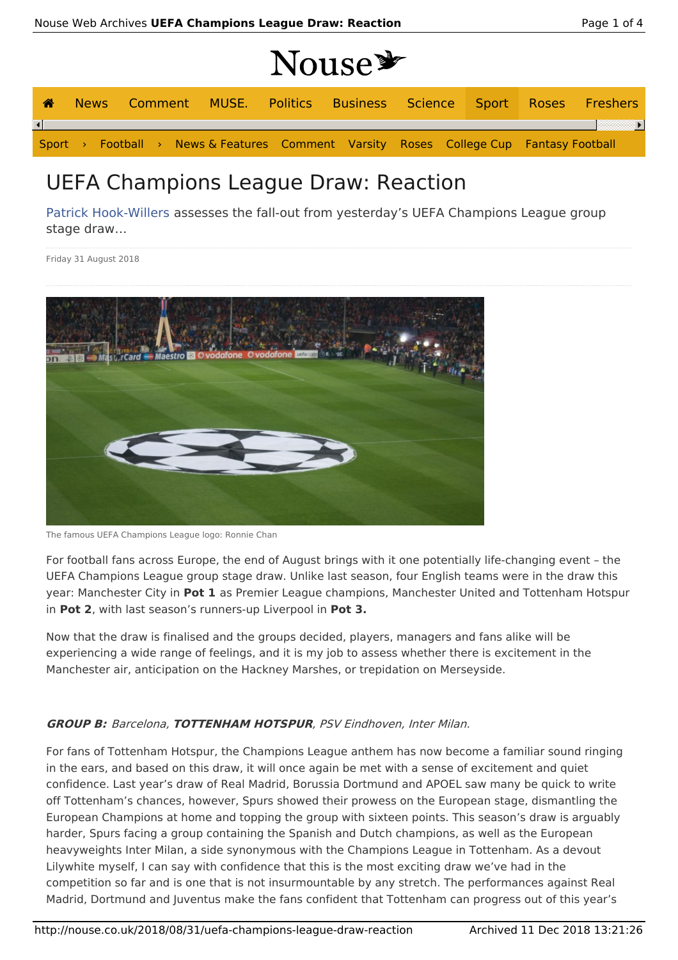# Nouse \*

| 谷                      |  |  |  |  |  |  |                                                                                       | News Comment MUSE. Politics Business Science Sport Roses Freshers |
|------------------------|--|--|--|--|--|--|---------------------------------------------------------------------------------------|-------------------------------------------------------------------|
| $\left  \cdot \right $ |  |  |  |  |  |  |                                                                                       |                                                                   |
|                        |  |  |  |  |  |  | Sport > Football > News & Features Comment Varsity Roses College Cup Fantasy Football |                                                                   |

# UEFA Champions League Draw: Reaction

Patrick Hook-Willers assesses the fall-out from yesterday's UEFA Champions League group stage draw…

Friday 31 August 2018



The famous UEFA Champions League logo: Ronnie Chan

For football fans across Europe, the end of August brings with it one potentially life-changing event – the UEFA Champions League group stage draw. Unlike last season, four English teams were in the draw this year: Manchester City in **Pot 1** as Premier League champions, Manchester United and Tottenham Hotspur in **Pot 2**, with last season's runners-up Liverpool in **Pot 3.**

Now that the draw is finalised and the groups decided, players, managers and fans alike will be experiencing a wide range of feelings, and it is my job to assess whether there is excitement in the Manchester air, anticipation on the Hackney Marshes, or trepidation on Merseyside.

### **GROUP B:** Barcelona, **TOTTENHAM HOTSPUR**, PSV Eindhoven, Inter Milan.

For fans of Tottenham Hotspur, the Champions League anthem has now become a familiar sound ringing in the ears, and based on this draw, it will once again be met with a sense of excitement and quiet confidence. Last year's draw of Real Madrid, Borussia Dortmund and APOEL saw many be quick to write off Tottenham's chances, however, Spurs showed their prowess on the European stage, dismantling the European Champions at home and topping the group with sixteen points. This season's draw is arguably harder, Spurs facing a group containing the Spanish and Dutch champions, as well as the European heavyweights Inter Milan, a side synonymous with the Champions League in Tottenham. As a devout Lilywhite myself, I can say with confidence that this is the most exciting draw we've had in the competition so far and is one that is not insurmountable by any stretch. The performances against Real Madrid, Dortmund and Juventus make the fans confident that Tottenham can progress out of this year's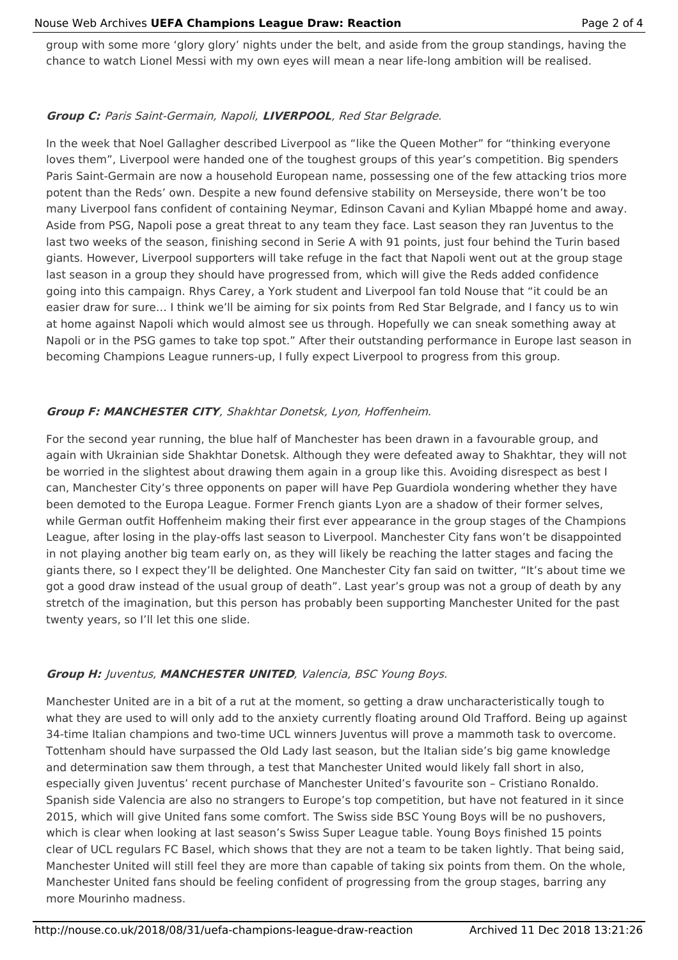#### Nouse Web Archives **UEFA Champions League Draw: Reaction** Page 2 of 4

group with some more 'glory glory' nights under the belt, and aside from the group standings, having the chance to watch Lionel Messi with my own eyes will mean a near life-long ambition will be realised.

#### **Group C:** Paris Saint-Germain, Napoli, **LIVERPOOL**, Red Star Belgrade.

In the week that Noel Gallagher described Liverpool as "like the Queen Mother" for "thinking everyone loves them", Liverpool were handed one of the toughest groups of this year's competition. Big spenders Paris Saint-Germain are now a household European name, possessing one of the few attacking trios more potent than the Reds' own. Despite a new found defensive stability on Merseyside, there won't be too many Liverpool fans confident of containing Neymar, Edinson Cavani and Kylian Mbappé home and away. Aside from PSG, Napoli pose a great threat to any team they face. Last season they ran Juventus to the last two weeks of the season, finishing second in Serie A with 91 points, just four behind the Turin based giants. However, Liverpool supporters will take refuge in the fact that Napoli went out at the group stage last season in a group they should have progressed from, which will give the Reds added confidence going into this campaign. Rhys Carey, a York student and Liverpool fan told Nouse that "it could be an easier draw for sure… I think we'll be aiming for six points from Red Star Belgrade, and I fancy us to win at home against Napoli which would almost see us through. Hopefully we can sneak something away at Napoli or in the PSG games to take top spot." After their outstanding performance in Europe last season in becoming Champions League runners-up, I fully expect Liverpool to progress from this group.

## **Group F: MANCHESTER CITY**, Shakhtar Donetsk, Lyon, Hoffenheim.

For the second year running, the blue half of Manchester has been drawn in a favourable group, and again with Ukrainian side Shakhtar Donetsk. Although they were defeated away to Shakhtar, they will not be worried in the slightest about drawing them again in a group like this. Avoiding disrespect as best I can, Manchester City's three opponents on paper will have Pep Guardiola wondering whether they have been demoted to the Europa League. Former French giants Lyon are a shadow of their former selves, while German outfit Hoffenheim making their first ever appearance in the group stages of the Champions League, after losing in the play-offs last season to Liverpool. Manchester City fans won't be disappointed in not playing another big team early on, as they will likely be reaching the latter stages and facing the giants there, so I expect they'll be delighted. One Manchester City fan said on twitter, "It's about time we got a good draw instead of the usual group of death". Last year's group was not a group of death by any stretch of the imagination, but this person has probably been supporting Manchester United for the past twenty years, so I'll let this one slide.

### **Group H:** Juventus, **MANCHESTER UNITED**, Valencia, BSC Young Boys.

Manchester United are in a bit of a rut at the moment, so getting a draw uncharacteristically tough to what they are used to will only add to the anxiety currently floating around Old Trafford. Being up against 34-time Italian champions and two-time UCL winners Juventus will prove a mammoth task to overcome. Tottenham should have surpassed the Old Lady last season, but the Italian side's big game knowledge and determination saw them through, a test that Manchester United would likely fall short in also, especially given Juventus' recent purchase of Manchester United's favourite son – Cristiano Ronaldo. Spanish side Valencia are also no strangers to Europe's top competition, but have not featured in it since 2015, which will give United fans some comfort. The Swiss side BSC Young Boys will be no pushovers, which is clear when looking at last season's Swiss Super League table. Young Boys finished 15 points clear of UCL regulars FC Basel, which shows that they are not a team to be taken lightly. That being said, Manchester United will still feel they are more than capable of taking six points from them. On the whole, Manchester United fans should be feeling confident of progressing from the group stages, barring any more Mourinho madness.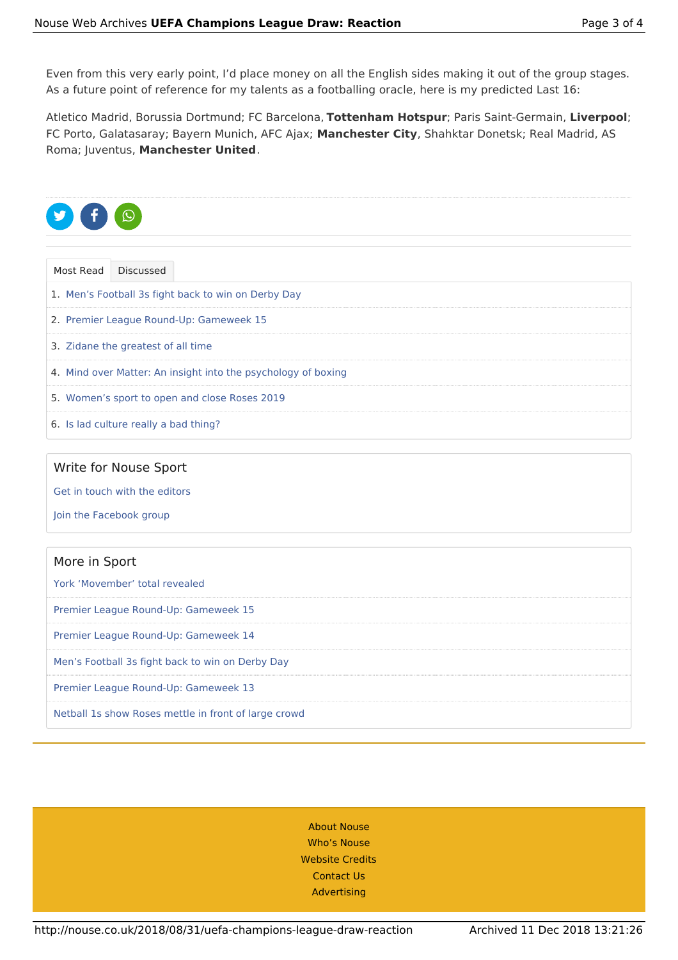Even from this very early point, I'd place money on all the English sides making it out of the group stages. As a future point of reference for my talents as a footballing oracle, here is my predicted Last 16:

Atletico Madrid, Borussia Dortmund; FC Barcelona, **Tottenham Hotspur**; Paris Saint-Germain, **Liverpool**; FC Porto, Galatasaray; Bayern Munich, AFC Ajax; **Manchester City**, Shahktar Donetsk; Real Madrid, AS Roma; Juventus, **Manchester United**.



| Most Read Discussed                                           |  |  |  |  |  |
|---------------------------------------------------------------|--|--|--|--|--|
| 1. Men's Football 3s fight back to win on Derby Day           |  |  |  |  |  |
| 2. Premier League Round-Up: Gameweek 15                       |  |  |  |  |  |
| 3. Zidane the greatest of all time                            |  |  |  |  |  |
| 4. Mind over Matter: An insight into the psychology of boxing |  |  |  |  |  |
| 5. Women's sport to open and close Roses 2019                 |  |  |  |  |  |
| 6. Is lad culture really a bad thing?                         |  |  |  |  |  |

#### Write for Nouse Sport

Get in touch with the editors

Join the Facebook group

| More in Sport                                        |
|------------------------------------------------------|
| York 'Movember' total revealed                       |
| Premier League Round-Up: Gameweek 15                 |
| Premier League Round-Up: Gameweek 14                 |
| Men's Football 3s fight back to win on Derby Day     |
| Premier League Round-Up: Gameweek 13                 |
| Netball 1s show Roses mettle in front of large crowd |

About Nouse Who's Nouse Website Credits Contact Us Advertising